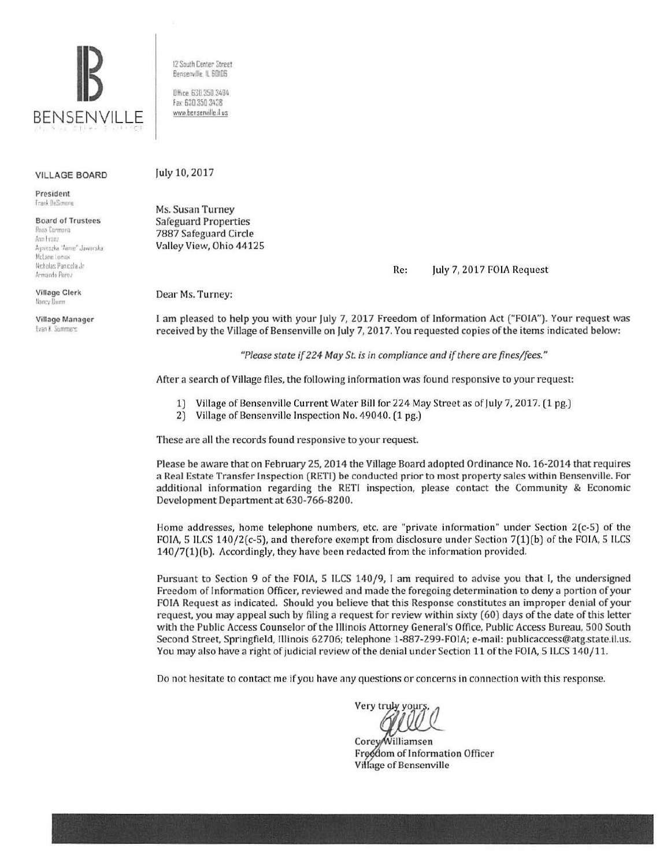

VILLAGE BOARD

President **Trank DeSimmne** 

Board of Trustees Rosa Carmona Aria Franz Auneszka Anne Jawarska **McLane Lomax** Nicholas Panicola Jr Armando Perez

Village Clerk **1 1311::,· Uu.nn** 

Village Manager **Ivan K** Summers

12 South Center Street Bensenville, IL 60105

Office: 630 350 3404 Fax 630 350 3438 *ww.v* bensenv1lle.il us

## July 10, 2017

Ms. Susan Turney Safeguard Properties 7887 Safeguard Circle Valley View, Ohio 44125

Re: July 7, 2017 FOIA Request

Dear Ms. Turney:

**1** am pleased to help you with your July 7, 2017 Freedom of Information Act ("FOIA"). Your request was received by the Village of Bensenville on July 7, 2017. You requested copies of the items indicated below:

*"Please state if 224 May St is in compliance and if there are fines/fees."* 

After a search of Village files, the following information was found responsive to your request:

- 1) Village of Bensenville Current Water Bill for 224 May Street as of July 7, 2017. (1 pg.)
- 2) Village of Bensenville Inspection No. 49040. (1 pg.)

These are all the records found responsive to your request.

Please be aware that on February 25, 2014 the Village Board adopted Ordinance No. 16-2014 that requires a Real Estate Transfer Inspection (RETI) be conducted prior to most property sales within Bensenville. For additional information regarding the RETI inspection, please contact the Community & Economic Development Department at 630-766-8200.

Home addresses, home telephone numbers, etc. are "private in formation" under Section 2(c-5) of the FOIA, 5 ILCS 140/2(c-5), and therefore exempt from disclosure under Section 7(1)(b) of the FOIA, 5 ILCS 140/7(1)(b). Accordingly, they have been redacted from the information provided.

Pursuant to Section 9 of the FOIA, 5 ILCS 140/9, I am required to advise you that I, the undersigned Freedom of Information Officer, reviewed and made the foregoing determination to deny a portion of your FOIA Request as indicated. Should you believe that this Response constitutes an improper denial of your request, you may appeal such by filing a request for review within sixty (60) days of the date of this letter with the Public Access Counselor of the lllinois Attorney General's Office, Public Access Bureau, 500 South Second Street, Springfield, Illinois 62706; telephone 1-887-299-FOIA; e-mail: publicaccess@atg.state.il.us. You may also have a right of judicial review of the denial under Section 11 of the FOIA, 5 ILCS 140/11.

Do not hesitate to contact me if you have any questions or concerns in connection with this response.

Very truly your;

Corey/Williamsen Freedom of Information Officer Village of Bensenville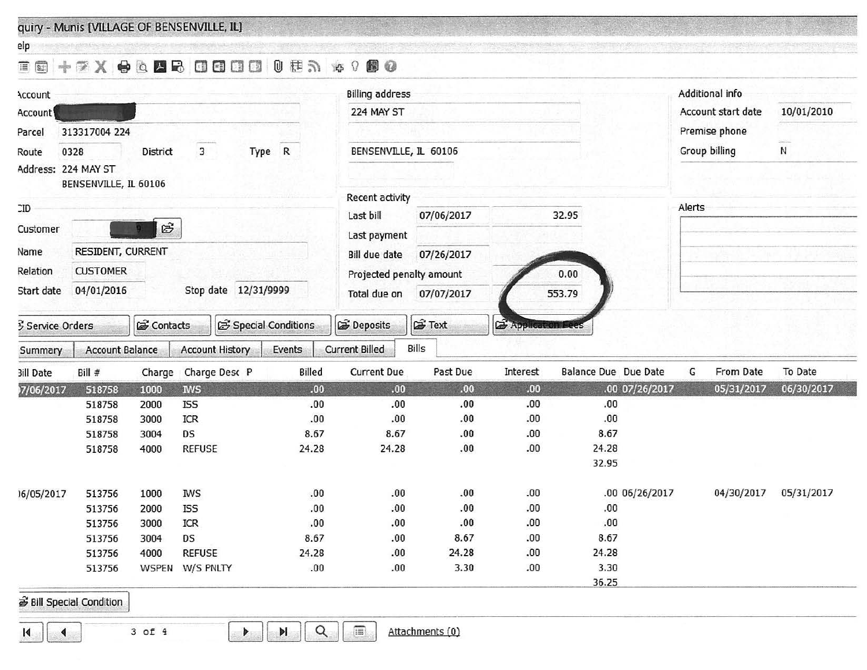quiry - Munis [VILLAGE OF BENSENVILLE, IL]

| elp                                          |                                 |              |                        |                    |                          |                        |                      |                             |        |                    |            |  |
|----------------------------------------------|---------------------------------|--------------|------------------------|--------------------|--------------------------|------------------------|----------------------|-----------------------------|--------|--------------------|------------|--|
| 画画                                           |                                 |              | <b>EX OR SOUD</b>      |                    | 0 世元 19 0 0 0            |                        |                      |                             |        |                    |            |  |
| <b>Account</b>                               |                                 |              |                        |                    |                          | <b>Billing address</b> |                      |                             |        | Additional info    |            |  |
| Account                                      |                                 |              |                        |                    | 224 MAY ST               |                        |                      |                             |        | Account start date | 10/01/2010 |  |
| Parcel                                       | 313317004 224                   |              |                        |                    |                          |                        |                      |                             |        | Premise phone      |            |  |
| Route                                        | Type R<br>3<br>0328<br>District |              |                        |                    | BENSENVILLE, IL 60106    |                        |                      |                             |        | Group billing      | N          |  |
| Address: 224 MAY ST<br>BENSENVILLE, IL 60106 |                                 |              |                        |                    |                          |                        |                      |                             |        |                    |            |  |
|                                              |                                 |              |                        |                    | Recent activity          |                        |                      |                             |        |                    |            |  |
| $\square$                                    |                                 |              |                        |                    | Last bill                | 07/06/2017             |                      | 32.95                       | Alerts |                    |            |  |
| Customer                                     |                                 | E            |                        |                    | Last payment             |                        |                      |                             |        |                    |            |  |
| Name                                         | RESIDENT, CURRENT               |              |                        |                    | <b>Bill due date</b>     | 07/26/2017             |                      |                             |        |                    |            |  |
| Relation                                     | <b>CUSTOMER</b>                 |              |                        |                    | Projected penalty amount |                        |                      | 0.00                        |        |                    |            |  |
| Start date                                   | 04/01/2016                      |              | Stop date 12/31/9999   |                    | Total due on             | 07/07/2017             |                      | 553.79                      |        |                    |            |  |
|                                              |                                 |              |                        |                    |                          |                        |                      |                             |        |                    |            |  |
| Service Orders                               |                                 | contacts     |                        | Special Conditions | Deposits                 | <b>E</b> Text          | <b>2</b> Application |                             |        |                    |            |  |
| Summary                                      | <b>Account Balance</b>          |              | <b>Account History</b> | Events             | <b>Current Billed</b>    | Bills                  |                      |                             |        |                    |            |  |
| <b>3ill Date</b>                             | Bill #                          | Charge       | Charge Desc P          | Billed             | <b>Current Due</b>       | Past Due               | Interest             | <b>Balance Due Due Date</b> | G      | From Date          | To Date    |  |
| 7/06/2017                                    | 518758                          | 1000         | <b>NVS</b>             | 00.                | .00                      | .00.                   | .00.                 | .00 07/26/2017              |        | 05/31/2017         | 06/30/2017 |  |
|                                              | 518758                          | 2000         | <b>ISS</b>             | .00                | .00                      | .00.                   | .00                  | .00                         |        |                    |            |  |
|                                              | 518758                          | 3000         | ICR                    | .00                | .00                      | .00                    | .00                  | .00.                        |        |                    |            |  |
|                                              | 518758                          | 3004         | DS                     | 8.67               | 8.67                     | .00                    | .00<br>.00.          | 8.67<br>24.28               |        |                    |            |  |
|                                              | 518758                          | 4000         | <b>REFUSE</b>          | 24.28              | 24.28                    | .00.                   |                      | 32.95                       |        |                    |            |  |
|                                              |                                 |              |                        |                    |                          |                        |                      |                             |        |                    |            |  |
| 16/05/2017                                   | 513756                          | 1000         | <b>IWS</b>             | .00                | .00                      | .00.                   | .00                  | .00 06/26/2017              |        | 04/30/2017         | 05/31/2017 |  |
|                                              | 513756                          | 2000         | <b>ISS</b>             | .00.               | .00                      | .00.                   | .00.                 | .00.                        |        |                    |            |  |
|                                              | 513756                          | 3000         | ICR                    | .00                | .00                      | .00.                   | .00.                 | .00.                        |        |                    |            |  |
|                                              | 513756                          | 3004         | DS                     | 8.67               | .00                      | 8.67                   | .00.                 | 8.67                        |        |                    |            |  |
|                                              | 513756                          | 4000         | <b>REFUSE</b>          | 24.28              | .00                      | 24.28                  | .00.                 | 24.28                       |        |                    |            |  |
|                                              | 513756                          | <b>WSPEN</b> | W/S PNLTY              | .00                | .00                      | 3.30                   | .00                  | 3.30                        |        |                    |            |  |
|                                              |                                 |              |                        |                    |                          |                        |                      | 36.25                       |        |                    |            |  |

 $\tilde{\boldsymbol{\mathcal{B}}}$  Bill Special Condition

 $\boxed{1}$  $\boxed{4}$